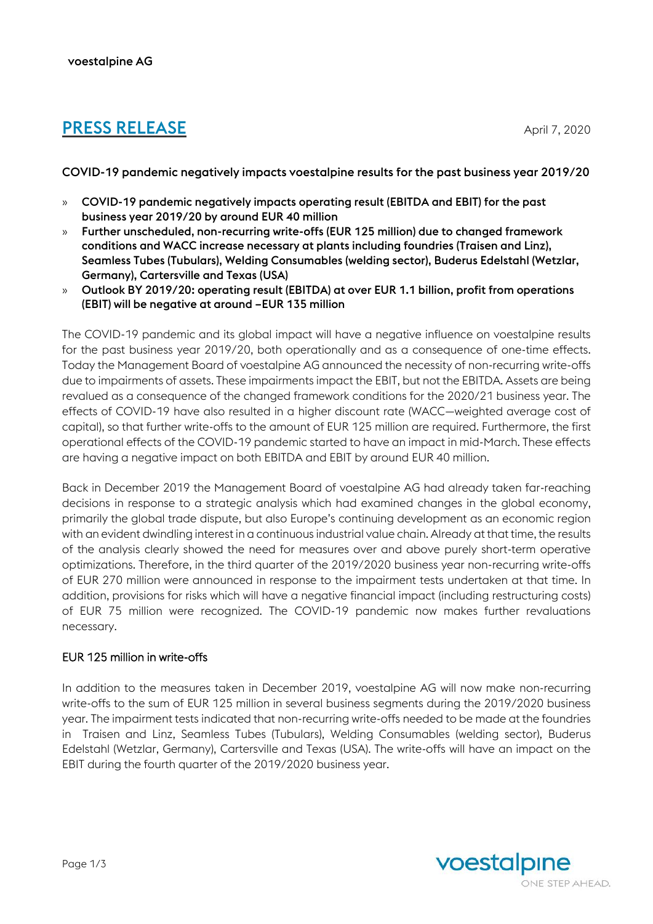# **PRESS RELEASE** April 7, 2020

COVID-19 pandemic negatively impacts voestalpine results for the past business year 2019/20

- » COVID-19 pandemic negatively impacts operating result (EBITDA and EBIT) for the past business year 2019/20 by around EUR 40 million
- » Further unscheduled, non-recurring write-offs (EUR 125 million) due to changed framework conditions and WACC increase necessary at plants including foundries (Traisen and Linz), Seamless Tubes (Tubulars), Welding Consumables (welding sector), Buderus Edelstahl (Wetzlar, Germany), Cartersville and Texas (USA)
- » Outlook BY 2019/20: operating result (EBITDA) at over EUR 1.1 billion, profit from operations (EBIT) will be negative at around –EUR 135 million

The COVID-19 pandemic and its global impact will have a negative influence on voestalpine results for the past business year 2019/20, both operationally and as a consequence of one-time effects. Today the Management Board of voestalpine AG announced the necessity of non-recurring write-offs due to impairments of assets. These impairments impact the EBIT, but not the EBITDA. Assets are being revalued as a consequence of the changed framework conditions for the 2020/21 business year. The effects of COVID-19 have also resulted in a higher discount rate (WACC—weighted average cost of capital), so that further write-offs to the amount of EUR 125 million are required. Furthermore, the first operational effects of the COVID-19 pandemic started to have an impact in mid-March. These effects are having a negative impact on both EBITDA and EBIT by around EUR 40 million.

Back in December 2019 the Management Board of voestalpine AG had already taken far-reaching decisions in response to a strategic analysis which had examined changes in the global economy, primarily the global trade dispute, but also Europe's continuing development as an economic region with an evident dwindling interest in a continuous industrial value chain. Already at that time, the results of the analysis clearly showed the need for measures over and above purely short-term operative optimizations. Therefore, in the third quarter of the 2019/2020 business year non-recurring write-offs of EUR 270 million were announced in response to the impairment tests undertaken at that time. In addition, provisions for risks which will have a negative financial impact (including restructuring costs) of EUR 75 million were recognized. The COVID-19 pandemic now makes further revaluations necessary.

# EUR 125 million in write-offs

In addition to the measures taken in December 2019, voestalpine AG will now make non-recurring write-offs to the sum of EUR 125 million in several business segments during the 2019/2020 business year. The impairment tests indicated that non-recurring write-offs needed to be made at the foundries in Traisen and Linz, Seamless Tubes (Tubulars), Welding Consumables (welding sector), Buderus Edelstahl (Wetzlar, Germany), Cartersville and Texas (USA). The write-offs will have an impact on the EBIT during the fourth quarter of the 2019/2020 business year.

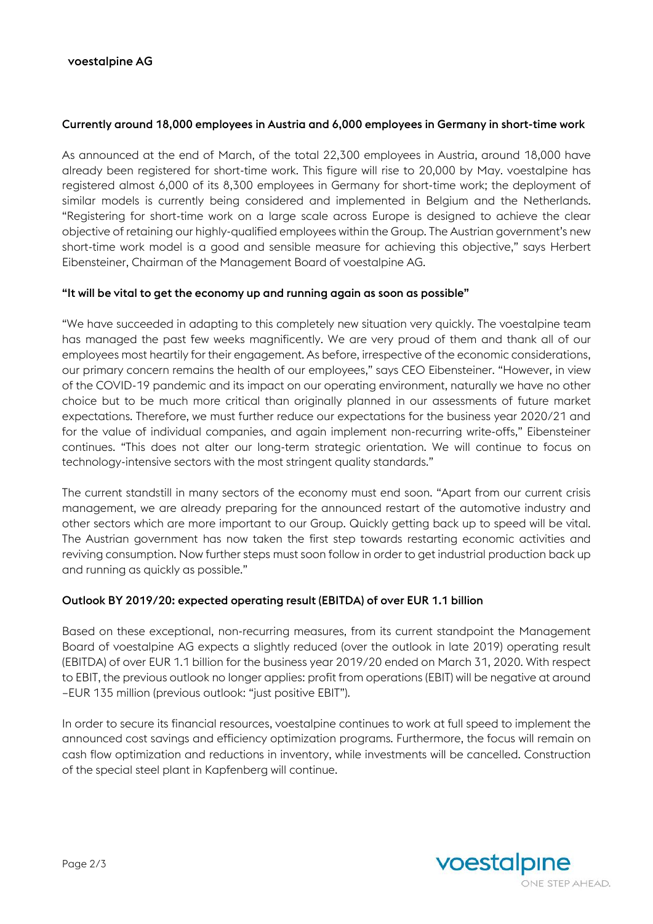#### Currently around 18,000 employees in Austria and 6,000 employees in Germany in short-time work

As announced at the end of March, of the total 22,300 employees in Austria, around 18,000 have already been registered for short-time work. This figure will rise to 20,000 by May. voestalpine has registered almost 6,000 of its 8,300 employees in Germany for short-time work; the deployment of similar models is currently being considered and implemented in Belgium and the Netherlands. "Registering for short-time work on a large scale across Europe is designed to achieve the clear objective of retaining our highly-qualified employees within the Group. The Austrian government's new short-time work model is a good and sensible measure for achieving this objective," says Herbert Eibensteiner, Chairman of the Management Board of voestalpine AG.

#### "It will be vital to get the economy up and running again as soon as possible"

"We have succeeded in adapting to this completely new situation very quickly. The voestalpine team has managed the past few weeks magnificently. We are very proud of them and thank all of our employees most heartily for their engagement. As before, irrespective of the economic considerations, our primary concern remains the health of our employees," says CEO Eibensteiner. "However, in view of the COVID-19 pandemic and its impact on our operating environment, naturally we have no other choice but to be much more critical than originally planned in our assessments of future market expectations. Therefore, we must further reduce our expectations for the business year 2020/21 and for the value of individual companies, and again implement non-recurring write-offs," Eibensteiner continues. "This does not alter our long-term strategic orientation. We will continue to focus on technology-intensive sectors with the most stringent quality standards."

The current standstill in many sectors of the economy must end soon. "Apart from our current crisis management, we are already preparing for the announced restart of the automotive industry and other sectors which are more important to our Group. Quickly getting back up to speed will be vital. The Austrian government has now taken the first step towards restarting economic activities and reviving consumption. Now further steps must soon follow in order to get industrial production back up and running as quickly as possible."

## Outlook BY 2019/20: expected operating result (EBITDA) of over EUR 1.1 billion

Based on these exceptional, non-recurring measures, from its current standpoint the Management Board of voestalpine AG expects a slightly reduced (over the outlook in late 2019) operating result (EBITDA) of over EUR 1.1 billion for the business year 2019/20 ended on March 31, 2020. With respect to EBIT, the previous outlook no longer applies: profit from operations (EBIT) will be negative at around –EUR 135 million (previous outlook: "just positive EBIT").

In order to secure its financial resources, voestalpine continues to work at full speed to implement the announced cost savings and efficiency optimization programs. Furthermore, the focus will remain on cash flow optimization and reductions in inventory, while investments will be cancelled. Construction of the special steel plant in Kapfenberg will continue.